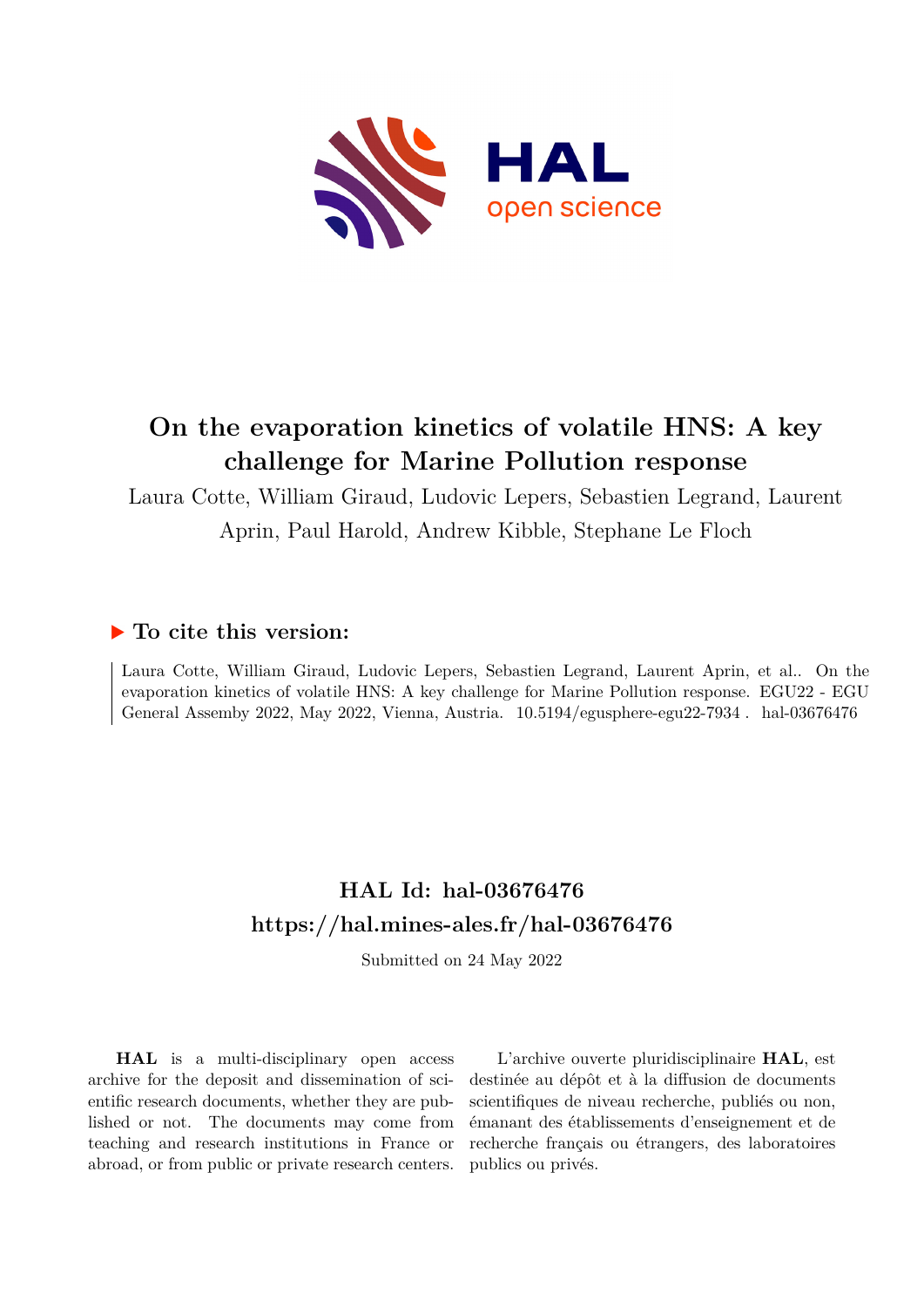

## **On the evaporation kinetics of volatile HNS: A key challenge for Marine Pollution response**

Laura Cotte, William Giraud, Ludovic Lepers, Sebastien Legrand, Laurent Aprin, Paul Harold, Andrew Kibble, Stephane Le Floch

## **To cite this version:**

Laura Cotte, William Giraud, Ludovic Lepers, Sebastien Legrand, Laurent Aprin, et al.. On the evaporation kinetics of volatile HNS: A key challenge for Marine Pollution response. EGU22 - EGU General Assemby 2022, May 2022, Vienna, Austria.  $10.5194$ /egusphere-egu22-7934. hal-03676476

## **HAL Id: hal-03676476 <https://hal.mines-ales.fr/hal-03676476>**

Submitted on 24 May 2022

**HAL** is a multi-disciplinary open access archive for the deposit and dissemination of scientific research documents, whether they are published or not. The documents may come from teaching and research institutions in France or abroad, or from public or private research centers.

L'archive ouverte pluridisciplinaire **HAL**, est destinée au dépôt et à la diffusion de documents scientifiques de niveau recherche, publiés ou non, émanant des établissements d'enseignement et de recherche français ou étrangers, des laboratoires publics ou privés.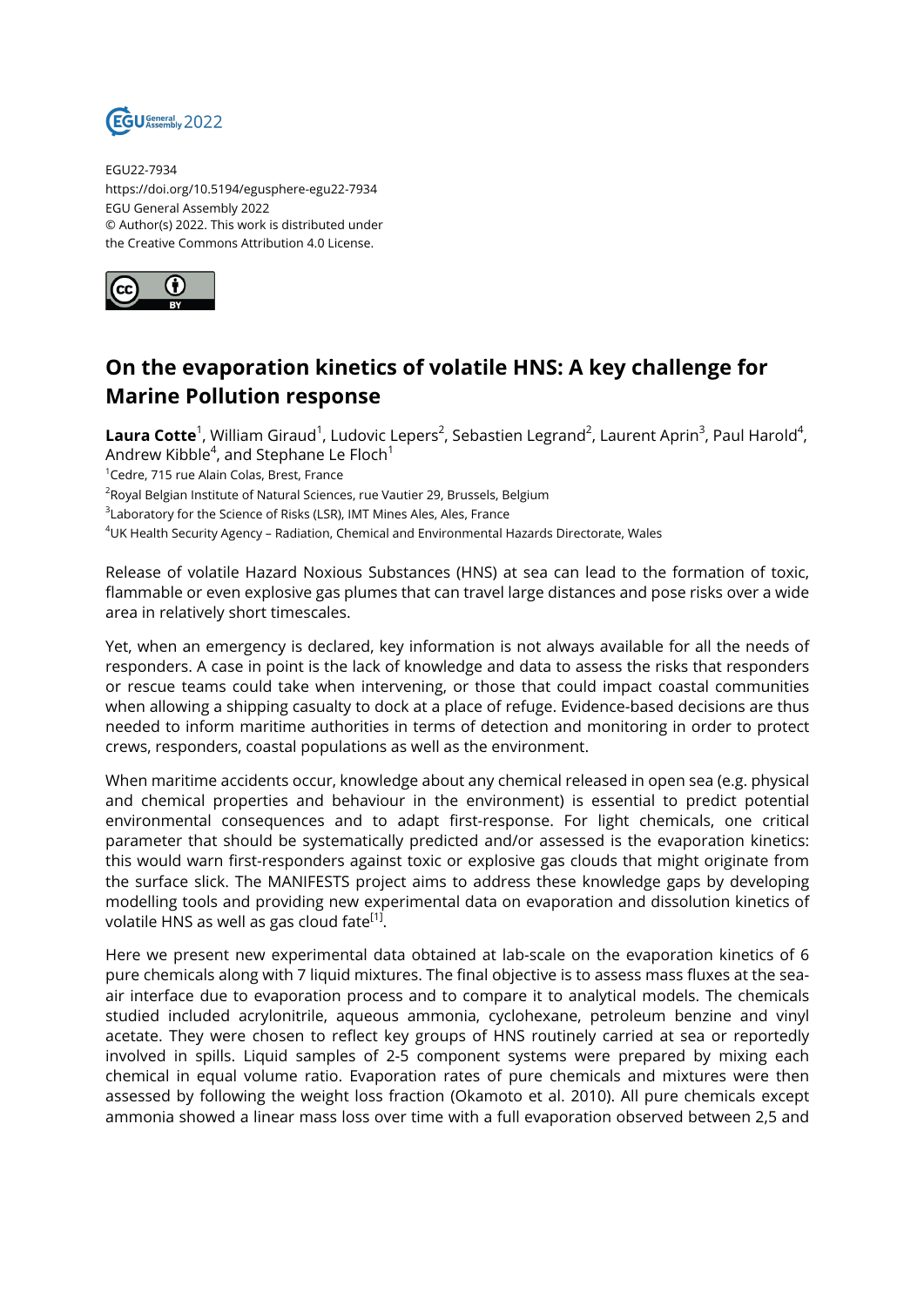

EGU22-7934 https://doi.org/10.5194/egusphere-egu22-7934 EGU General Assembly 2022 © Author(s) 2022. This work is distributed under the Creative Commons Attribution 4.0 License.



## **On the evaporation kinetics of volatile HNS: A key challenge for Marine Pollution response**

 $\bm{\mathsf{Laura}\hspace*{0.6ex}}$  Cott $\bm{\mathsf{e}}^1$ , William Giraud $^1$ , Ludovic Lepers $^2$ , Sebastien Legrand $^2$ , Laurent Aprin $^3$ , Paul Harold $^4$ , Andrew Kibble $^4$ , and Stephane Le Floch $^1$ 

<sup>1</sup>Cedre, 715 rue Alain Colas, Brest, France

 $^2$ Royal Belgian Institute of Natural Sciences, rue Vautier 29, Brussels, Belgium

 $^3$ Laboratory for the Science of Risks (LSR), IMT Mines Ales, Ales, France

<sup>4</sup>UK Health Security Agency – Radiation, Chemical and Environmental Hazards Directorate, Wales

Release of volatile Hazard Noxious Substances (HNS) at sea can lead to the formation of toxic, flammable or even explosive gas plumes that can travel large distances and pose risks over a wide area in relatively short timescales.

Yet, when an emergency is declared, key information is not always available for all the needs of responders. A case in point is the lack of knowledge and data to assess the risks that responders or rescue teams could take when intervening, or those that could impact coastal communities when allowing a shipping casualty to dock at a place of refuge. Evidence-based decisions are thus needed to inform maritime authorities in terms of detection and monitoring in order to protect crews, responders, coastal populations as well as the environment.

When maritime accidents occur, knowledge about any chemical released in open sea (e.g. physical and chemical properties and behaviour in the environment) is essential to predict potential environmental consequences and to adapt first-response. For light chemicals, one critical parameter that should be systematically predicted and/or assessed is the evaporation kinetics: this would warn first-responders against toxic or explosive gas clouds that might originate from the surface slick. The MANIFESTS project aims to address these knowledge gaps by developing modelling tools and providing new experimental data on evaporation and dissolution kinetics of volatile HNS as well as gas cloud fate<sup>[1]</sup>.

Here we present new experimental data obtained at lab-scale on the evaporation kinetics of 6 pure chemicals along with 7 liquid mixtures. The final objective is to assess mass fluxes at the seaair interface due to evaporation process and to compare it to analytical models. The chemicals studied included acrylonitrile, aqueous ammonia, cyclohexane, petroleum benzine and vinyl acetate. They were chosen to reflect key groups of HNS routinely carried at sea or reportedly involved in spills. Liquid samples of 2-5 component systems were prepared by mixing each chemical in equal volume ratio. Evaporation rates of pure chemicals and mixtures were then assessed by following the weight loss fraction (Okamoto et al. 2010). All pure chemicals except ammonia showed a linear mass loss over time with a full evaporation observed between 2,5 and